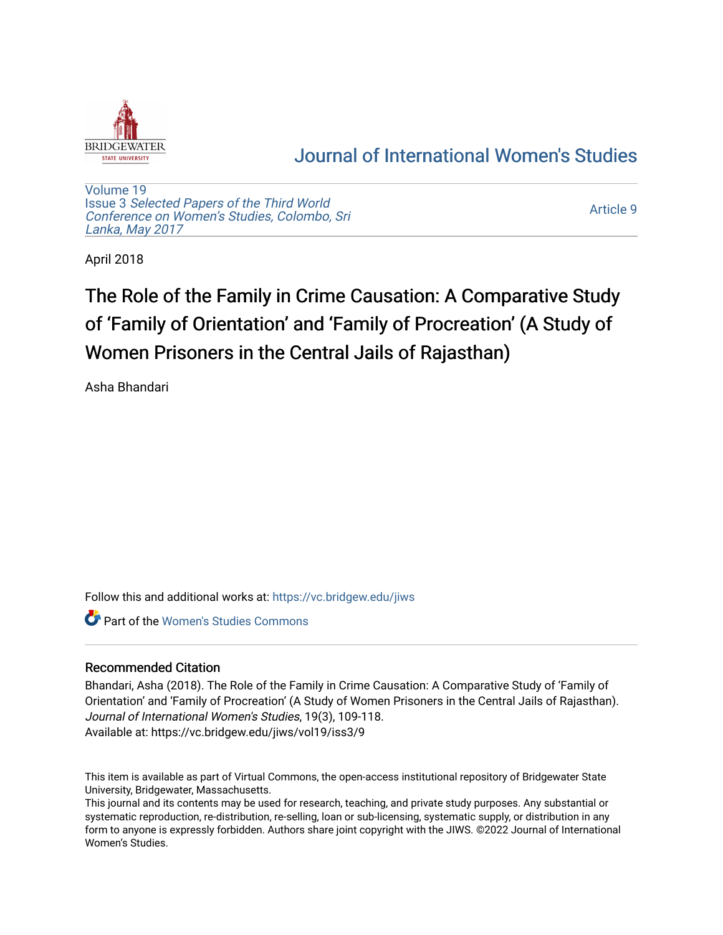

# [Journal of International Women's Studies](https://vc.bridgew.edu/jiws)

[Volume 19](https://vc.bridgew.edu/jiws/vol19) Issue 3 [Selected Papers of the Third World](https://vc.bridgew.edu/jiws/vol19/iss3) [Conference on Women's Studies, Colombo, Sri](https://vc.bridgew.edu/jiws/vol19/iss3)  [Lanka, May 2017](https://vc.bridgew.edu/jiws/vol19/iss3) 

[Article 9](https://vc.bridgew.edu/jiws/vol19/iss3/9) 

April 2018

# The Role of the Family in Crime Causation: A Comparative Study of 'Family of Orientation' and 'Family of Procreation' (A Study of Women Prisoners in the Central Jails of Rajasthan)

Asha Bhandari

Follow this and additional works at: [https://vc.bridgew.edu/jiws](https://vc.bridgew.edu/jiws?utm_source=vc.bridgew.edu%2Fjiws%2Fvol19%2Fiss3%2F9&utm_medium=PDF&utm_campaign=PDFCoverPages)

**Part of the Women's Studies Commons** 

# Recommended Citation

Bhandari, Asha (2018). The Role of the Family in Crime Causation: A Comparative Study of 'Family of Orientation' and 'Family of Procreation' (A Study of Women Prisoners in the Central Jails of Rajasthan). Journal of International Women's Studies, 19(3), 109-118. Available at: https://vc.bridgew.edu/jiws/vol19/iss3/9

This item is available as part of Virtual Commons, the open-access institutional repository of Bridgewater State University, Bridgewater, Massachusetts.

This journal and its contents may be used for research, teaching, and private study purposes. Any substantial or systematic reproduction, re-distribution, re-selling, loan or sub-licensing, systematic supply, or distribution in any form to anyone is expressly forbidden. Authors share joint copyright with the JIWS. ©2022 Journal of International Women's Studies.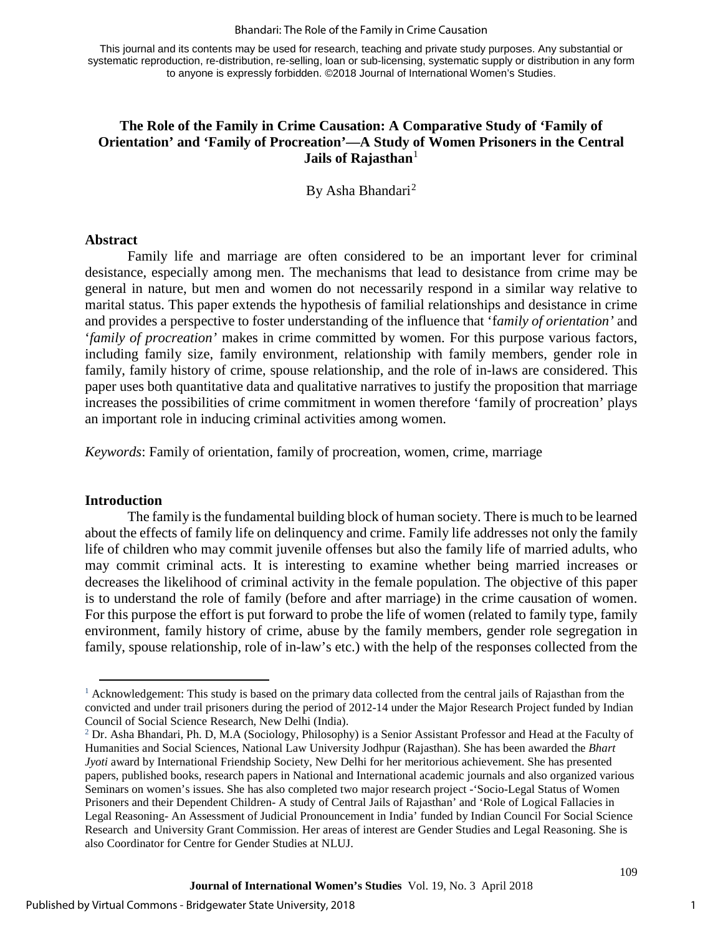This journal and its contents may be used for research, teaching and private study purposes. Any substantial or systematic reproduction, re-distribution, re-selling, loan or sub-licensing, systematic supply or distribution in any form to anyone is expressly forbidden. ©2018 Journal of International Women's Studies.

# **The Role of the Family in Crime Causation: A Comparative Study of 'Family of Orientation' and 'Family of Procreation'—A Study of Women Prisoners in the Central Jails of Rajasthan**<sup>[1](#page-1-0)</sup>

By Asha Bhandari<sup>[2](#page-1-1)</sup>

#### **Abstract**

Family life and marriage are often considered to be an important lever for criminal desistance, especially among men. The mechanisms that lead to desistance from crime may be general in nature, but men and women do not necessarily respond in a similar way relative to marital status. This paper extends the hypothesis of familial relationships and desistance in crime and provides a perspective to foster understanding of the influence that 'f*amily of orientation'* and '*family of procreation'* makes in crime committed by women. For this purpose various factors, including family size, family environment, relationship with family members, gender role in family, family history of crime, spouse relationship, and the role of in-laws are considered. This paper uses both quantitative data and qualitative narratives to justify the proposition that marriage increases the possibilities of crime commitment in women therefore 'family of procreation' plays an important role in inducing criminal activities among women.

*Keywords*: Family of orientation, family of procreation, women, crime, marriage

#### **Introduction**

 $\overline{a}$ 

The family is the fundamental building block of human society. There is much to be learned about the effects of family life on delinquency and crime. Family life addresses not only the family life of children who may commit juvenile offenses but also the family life of married adults, who may commit criminal acts. It is interesting to examine whether being married increases or decreases the likelihood of criminal activity in the female population. The objective of this paper is to understand the role of family (before and after marriage) in the crime causation of women. For this purpose the effort is put forward to probe the life of women (related to family type, family environment, family history of crime, abuse by the family members, gender role segregation in family, spouse relationship, role of in-law's etc.) with the help of the responses collected from the

<span id="page-1-0"></span><sup>&</sup>lt;sup>1</sup> Acknowledgement: This study is based on the primary data collected from the central jails of Rajasthan from the convicted and under trail prisoners during the period of 2012-14 under the Major Research Project funded by Indian Council of Social Science Research, New Delhi (India).

<span id="page-1-1"></span><sup>2</sup> Dr. Asha Bhandari, Ph. D, M.A (Sociology, Philosophy) is a Senior Assistant Professor and Head at the Faculty of Humanities and Social Sciences, National Law University Jodhpur (Rajasthan). She has been awarded the *Bhart Jyoti* award by International Friendship Society, New Delhi for her meritorious achievement. She has presented papers, published books, research papers in National and International academic journals and also organized various Seminars on women's issues. She has also completed two major research project -'Socio-Legal Status of Women Prisoners and their Dependent Children- A study of Central Jails of Rajasthan' and 'Role of Logical Fallacies in Legal Reasoning- An Assessment of Judicial Pronouncement in India' funded by Indian Council For Social Science Research and University Grant Commission. Her areas of interest are Gender Studies and Legal Reasoning. She is also Coordinator for Centre for Gender Studies at NLUJ.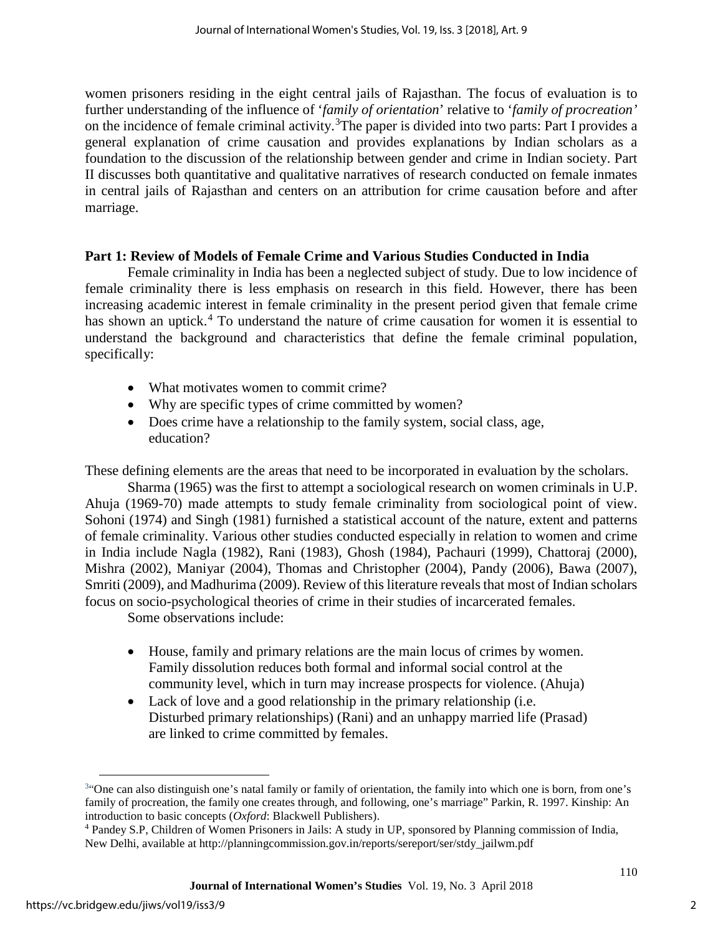women prisoners residing in the eight central jails of Rajasthan. The focus of evaluation is to further understanding of the influence of '*family of orientation*' relative to '*family of procreation'* on the incidence of female criminal activity.<sup>[3](#page-2-0)</sup>The paper is divided into two parts: Part I provides a general explanation of crime causation and provides explanations by Indian scholars as a foundation to the discussion of the relationship between gender and crime in Indian society. Part II discusses both quantitative and qualitative narratives of research conducted on female inmates in central jails of Rajasthan and centers on an attribution for crime causation before and after marriage.

# **Part 1: Review of Models of Female Crime and Various Studies Conducted in India**

Female criminality in India has been a neglected subject of study. Due to low incidence of female criminality there is less emphasis on research in this field. However, there has been increasing academic interest in female criminality in the present period given that female crime has shown an uptick.<sup>[4](#page-2-1)</sup> To understand the nature of crime causation for women it is essential to understand the background and characteristics that define the female criminal population, specifically:

- What motivates women to commit crime?
- Why are specific types of crime committed by women?
- Does crime have a relationship to the family system, social class, age, education?

These defining elements are the areas that need to be incorporated in evaluation by the scholars.

Sharma (1965) was the first to attempt a sociological research on women criminals in U.P. Ahuja (1969-70) made attempts to study female criminality from sociological point of view. Sohoni (1974) and Singh (1981) furnished a statistical account of the nature, extent and patterns of female criminality. Various other studies conducted especially in relation to women and crime in India include Nagla (1982), Rani (1983), Ghosh (1984), Pachauri (1999), Chattoraj (2000), Mishra (2002), Maniyar (2004), Thomas and Christopher (2004), Pandy (2006), Bawa (2007), Smriti (2009), and Madhurima (2009). Review of this literature reveals that most of Indian scholars focus on socio-psychological theories of crime in their studies of incarcerated females.

Some observations include:

- House, family and primary relations are the main locus of crimes by women. Family dissolution reduces both formal and informal social control at the community level, which in turn may increase prospects for violence. (Ahuja)
- Lack of love and a good relationship in the primary relationship (i.e. Disturbed primary relationships) (Rani) and an unhappy married life (Prasad) are linked to crime committed by females.

 $\overline{a}$ 

<span id="page-2-0"></span><sup>34</sup> One can also distinguish one's natal family or family of orientation, the family into which one is born, from one's family of procreation, the family one creates through, and following, one's marriage" Parkin, R. 1997. Kinship: An introduction to basic concepts (*Oxford*: Blackwell Publishers).

<span id="page-2-1"></span><sup>4</sup> Pandey S.P, Children of Women Prisoners in Jails: A study in UP, sponsored by Planning commission of India, New Delhi, available at http://planningcommission.gov.in/reports/sereport/ser/stdy\_jailwm.pdf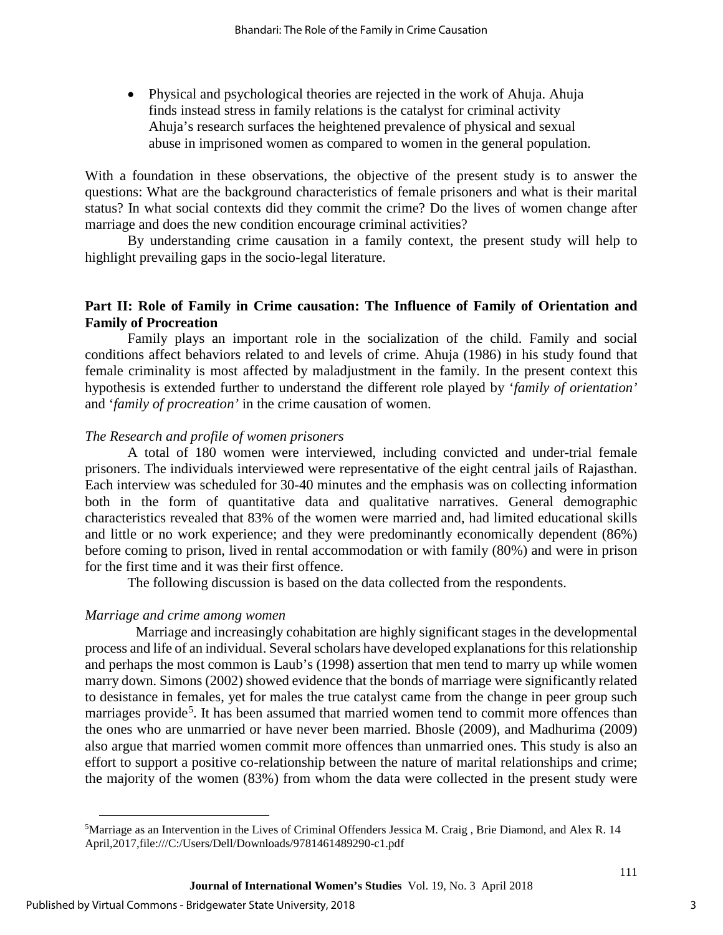• Physical and psychological theories are rejected in the work of Ahuja. Ahuja finds instead stress in family relations is the catalyst for criminal activity Ahuja's research surfaces the heightened prevalence of physical and sexual abuse in imprisoned women as compared to women in the general population.

With a foundation in these observations, the objective of the present study is to answer the questions: What are the background characteristics of female prisoners and what is their marital status? In what social contexts did they commit the crime? Do the lives of women change after marriage and does the new condition encourage criminal activities?

By understanding crime causation in a family context, the present study will help to highlight prevailing gaps in the socio-legal literature.

# **Part II: Role of Family in Crime causation: The Influence of Family of Orientation and Family of Procreation**

Family plays an important role in the socialization of the child. Family and social conditions affect behaviors related to and levels of crime. Ahuja (1986) in his study found that female criminality is most affected by maladjustment in the family. In the present context this hypothesis is extended further to understand the different role played by '*family of orientation'* and '*family of procreation'* in the crime causation of women.

# *The Research and profile of women prisoners*

A total of 180 women were interviewed, including convicted and under-trial female prisoners. The individuals interviewed were representative of the eight central jails of Rajasthan. Each interview was scheduled for 30-40 minutes and the emphasis was on collecting information both in the form of quantitative data and qualitative narratives. General demographic characteristics revealed that 83% of the women were married and, had limited educational skills and little or no work experience; and they were predominantly economically dependent (86%) before coming to prison, lived in rental accommodation or with family (80%) and were in prison for the first time and it was their first offence.

The following discussion is based on the data collected from the respondents.

# *Marriage and crime among women*

Marriage and increasingly cohabitation are highly significant stages in the developmental process and life of an individual. Several scholars have developed explanations for this relationship and perhaps the most common is Laub's (1998) assertion that men tend to marry up while women marry down. Simons (2002) showed evidence that the bonds of marriage were significantly related to desistance in females, yet for males the true catalyst came from the change in peer group such marriages provide<sup>[5](#page-3-0)</sup>. It has been assumed that married women tend to commit more offences than the ones who are unmarried or have never been married. Bhosle (2009), and Madhurima (2009) also argue that married women commit more offences than unmarried ones. This study is also an effort to support a positive co-relationship between the nature of marital relationships and crime; the majority of the women (83%) from whom the data were collected in the present study were

 $\overline{a}$ 

<span id="page-3-0"></span><sup>5</sup> Marriage as an Intervention in the Lives of Criminal Offenders Jessica M. Craig , Brie Diamond, and Alex R. 14 April,2017,file:///C:/Users/Dell/Downloads/9781461489290-c1.pdf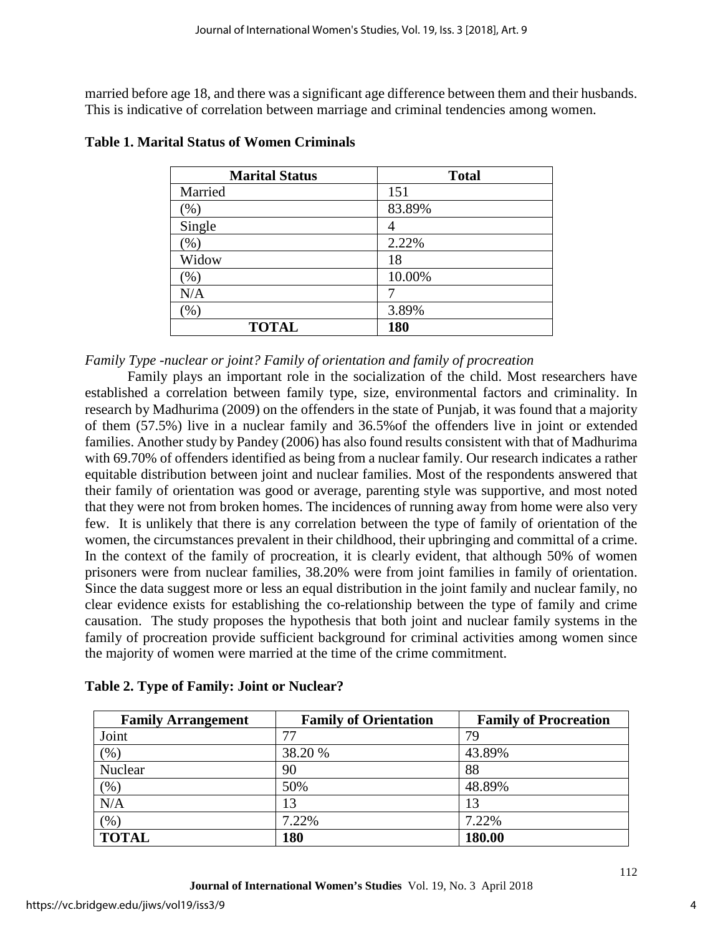married before age 18, and there was a significant age difference between them and their husbands. This is indicative of correlation between marriage and criminal tendencies among women.

| <b>Marital Status</b> | <b>Total</b> |
|-----------------------|--------------|
| Married               | 151          |
| $(\%)$                | 83.89%       |
| Single                | 4            |
| $(\%)$                | 2.22%        |
| Widow                 | 18           |
| $(\%)$                | 10.00%       |
| N/A                   |              |
| (% )                  | 3.89%        |
| <b>TOTAL</b>          | 180          |

# **Table 1. Marital Status of Women Criminals**

# *Family Type -nuclear or joint? Family of orientation and family of procreation*

Family plays an important role in the socialization of the child. Most researchers have established a correlation between family type, size, environmental factors and criminality. In research by Madhurima (2009) on the offenders in the state of Punjab, it was found that a majority of them (57.5%) live in a nuclear family and 36.5%of the offenders live in joint or extended families. Another study by Pandey (2006) has also found results consistent with that of Madhurima with 69.70% of offenders identified as being from a nuclear family. Our research indicates a rather equitable distribution between joint and nuclear families. Most of the respondents answered that their family of orientation was good or average, parenting style was supportive, and most noted that they were not from broken homes. The incidences of running away from home were also very few. It is unlikely that there is any correlation between the type of family of orientation of the women, the circumstances prevalent in their childhood, their upbringing and committal of a crime. In the context of the family of procreation, it is clearly evident, that although 50% of women prisoners were from nuclear families, 38.20% were from joint families in family of orientation. Since the data suggest more or less an equal distribution in the joint family and nuclear family, no clear evidence exists for establishing the co-relationship between the type of family and crime causation. The study proposes the hypothesis that both joint and nuclear family systems in the family of procreation provide sufficient background for criminal activities among women since the majority of women were married at the time of the crime commitment.

| <b>Family Arrangement</b> | <b>Family of Orientation</b> | <b>Family of Procreation</b> |
|---------------------------|------------------------------|------------------------------|
| Joint                     | 77                           | 79                           |
| $\frac{9}{6}$             | 38.20 %                      | 43.89%                       |
| Nuclear                   | 90                           | 88                           |
| (96)                      | 50%                          | 48.89%                       |
| N/A                       | 13                           | 13                           |
| (96)                      | 7.22%                        | 7.22%                        |
| <b>TOTAL</b>              | 180                          | 180.00                       |

|  |  | Table 2. Type of Family: Joint or Nuclear? |
|--|--|--------------------------------------------|
|  |  |                                            |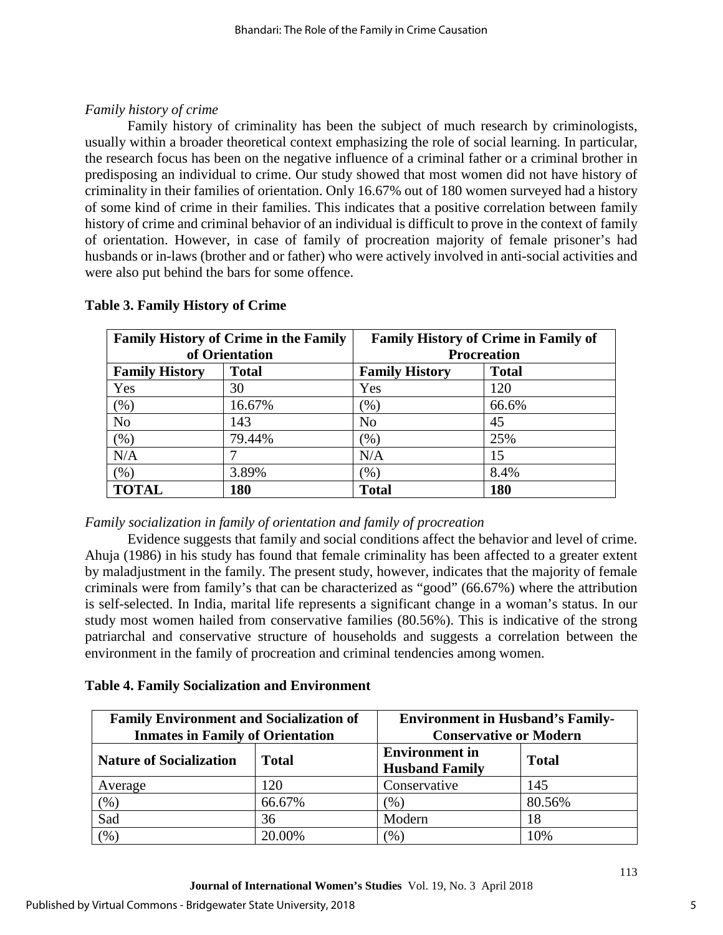# *Family history of crime*

Family history of criminality has been the subject of much research by criminologists, usually within a broader theoretical context emphasizing the role of social learning. In particular, the research focus has been on the negative influence of a criminal father or a criminal brother in predisposing an individual to crime. Our study showed that most women did not have history of criminality in their families of orientation. Only 16.67% out of 180 women surveyed had a history of some kind of crime in their families. This indicates that a positive correlation between family history of crime and criminal behavior of an individual is difficult to prove in the context of family of orientation. However, in case of family of procreation majority of female prisoner's had husbands or in-laws (brother and or father) who were actively involved in anti-social activities and were also put behind the bars for some offence.

| <b>Family History of Crime in the Family</b> |              | <b>Family History of Crime in Family of</b> |              |
|----------------------------------------------|--------------|---------------------------------------------|--------------|
| of Orientation                               |              | <b>Procreation</b>                          |              |
| <b>Family History</b>                        | <b>Total</b> | <b>Family History</b>                       | <b>Total</b> |
| Yes                                          | 30           | Yes                                         | 120          |
| $(\% )$                                      | 16.67%       | $(\% )$                                     | 66.6%        |
| N <sub>o</sub>                               | 143          | N <sub>o</sub>                              | 45           |
| $(\% )$                                      | 79.44%       | $(\% )$                                     | 25%          |
| N/A                                          |              | N/A                                         | 15           |
| $(\%)$                                       | 3.89%        | (%)                                         | 8.4%         |
| <b>TOTAL</b>                                 | 180          | <b>Total</b>                                | 180          |

# **Table 3. Family History of Crime**

# *Family socialization in family of orientation and family of procreation*

Evidence suggests that family and social conditions affect the behavior and level of crime. Ahuja (1986) in his study has found that female criminality has been affected to a greater extent by maladjustment in the family. The present study, however, indicates that the majority of female criminals were from family's that can be characterized as "good" (66.67%) where the attribution is self-selected. In India, marital life represents a significant change in a woman's status. In our study most women hailed from conservative families (80.56%). This is indicative of the strong patriarchal and conservative structure of households and suggests a correlation between the environment in the family of procreation and criminal tendencies among women.

# **Table 4. Family Socialization and Environment**

| <b>Family Environment and Socialization of</b><br><b>Inmates in Family of Orientation</b> |              | <b>Environment in Husband's Family-</b><br><b>Conservative or Modern</b> |              |
|-------------------------------------------------------------------------------------------|--------------|--------------------------------------------------------------------------|--------------|
| <b>Nature of Socialization</b>                                                            | <b>Total</b> | <b>Environment</b> in<br><b>Husband Family</b>                           | <b>Total</b> |
| Average                                                                                   | 120          | Conservative                                                             | 145          |
| $(\%)$                                                                                    | 66.67%       | (% )                                                                     | 80.56%       |
| Sad                                                                                       | 36           | Modern                                                                   | 18           |
| $\frac{1}{2}$                                                                             | 20.00%       | $(\%)$                                                                   | 10%          |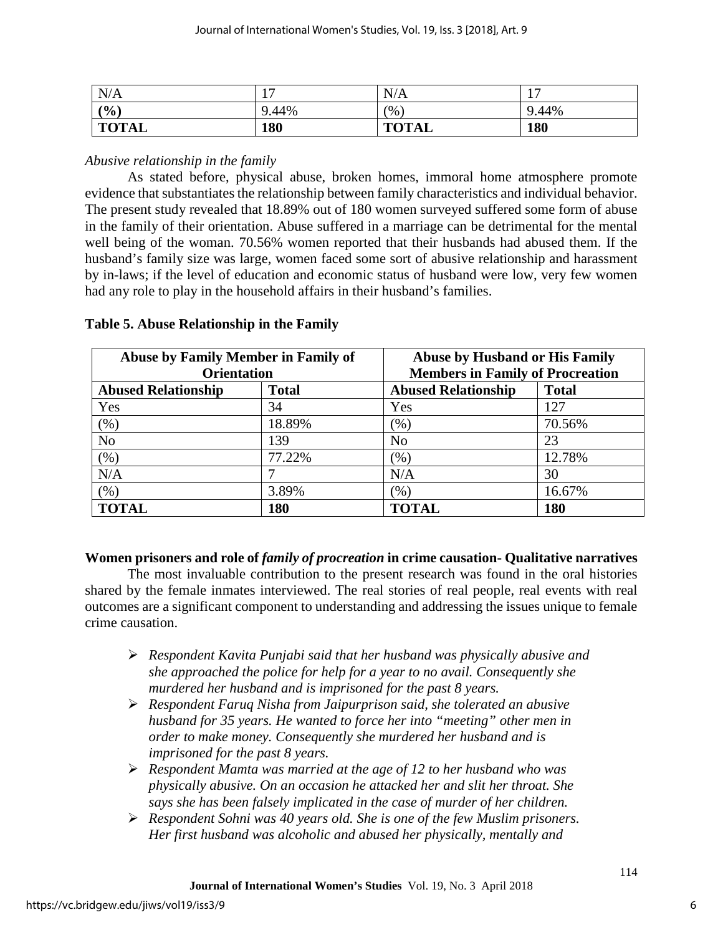| N/A          | 1 <sub>7</sub><br>. . | N/A          | 1 <sub>7</sub><br>$\mathbf{r}$ |
|--------------|-----------------------|--------------|--------------------------------|
| (% )         | 9.44%                 | (%           | 9.44%                          |
| <b>TOTAL</b> | 180                   | <b>TOTAL</b> | 180                            |

# *Abusive relationship in the family*

As stated before, physical abuse, broken homes, immoral home atmosphere promote evidence that substantiates the relationship between family characteristics and individual behavior. The present study revealed that 18.89% out of 180 women surveyed suffered some form of abuse in the family of their orientation. Abuse suffered in a marriage can be detrimental for the mental well being of the woman. 70.56% women reported that their husbands had abused them. If the husband's family size was large, women faced some sort of abusive relationship and harassment by in-laws; if the level of education and economic status of husband were low, very few women had any role to play in the household affairs in their husband's families.

| Abuse by Family Member in Family of<br><b>Orientation</b> |              | <b>Abuse by Husband or His Family</b><br><b>Members in Family of Procreation</b> |        |  |
|-----------------------------------------------------------|--------------|----------------------------------------------------------------------------------|--------|--|
| <b>Abused Relationship</b>                                | <b>Total</b> | <b>Abused Relationship</b><br><b>Total</b>                                       |        |  |
| Yes                                                       | 34           | Yes                                                                              | 127    |  |
| (% )                                                      | 18.89%       | $(\%)$                                                                           | 70.56% |  |
| N <sub>o</sub>                                            | 139          | No                                                                               | 23     |  |
| $(\%)$                                                    | 77.22%       | (%)                                                                              | 12.78% |  |
| N/A                                                       |              | N/A                                                                              | 30     |  |
| (% )                                                      | 3.89%        | $(\%)$                                                                           | 16.67% |  |
| <b>TOTAL</b>                                              | 180          | <b>TOTAL</b>                                                                     | 180    |  |

# **Table 5. Abuse Relationship in the Family**

# **Women prisoners and role of** *family of procreation* **in crime causation- Qualitative narratives**

The most invaluable contribution to the present research was found in the oral histories shared by the female inmates interviewed. The real stories of real people, real events with real outcomes are a significant component to understanding and addressing the issues unique to female crime causation.

- *Respondent Kavita Punjabi said that her husband was physically abusive and she approached the police for help for a year to no avail. Consequently she murdered her husband and is imprisoned for the past 8 years.*
- *Respondent Faruq Nisha from Jaipurprison said, she tolerated an abusive husband for 35 years. He wanted to force her into "meeting" other men in order to make money. Consequently she murdered her husband and is imprisoned for the past 8 years.*
- *Respondent Mamta was married at the age of 12 to her husband who was physically abusive. On an occasion he attacked her and slit her throat. She says she has been falsely implicated in the case of murder of her children.*
- *Respondent Sohni was 40 years old. She is one of the few Muslim prisoners. Her first husband was alcoholic and abused her physically, mentally and*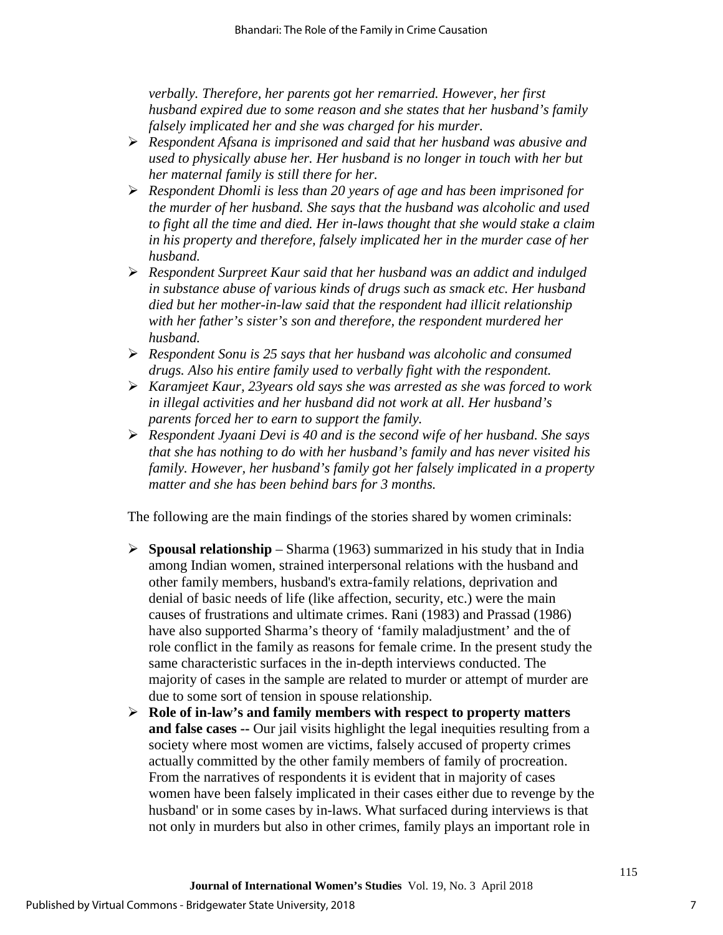*verbally. Therefore, her parents got her remarried. However, her first husband expired due to some reason and she states that her husband's family falsely implicated her and she was charged for his murder.* 

- *Respondent Afsana is imprisoned and said that her husband was abusive and used to physically abuse her. Her husband is no longer in touch with her but her maternal family is still there for her.*
- *Respondent Dhomli is less than 20 years of age and has been imprisoned for the murder of her husband. She says that the husband was alcoholic and used to fight all the time and died. Her in-laws thought that she would stake a claim in his property and therefore, falsely implicated her in the murder case of her husband.*
- *Respondent Surpreet Kaur said that her husband was an addict and indulged in substance abuse of various kinds of drugs such as smack etc. Her husband died but her mother-in-law said that the respondent had illicit relationship with her father's sister's son and therefore, the respondent murdered her husband.*
- *Respondent Sonu is 25 says that her husband was alcoholic and consumed drugs. Also his entire family used to verbally fight with the respondent.*
- *Karamjeet Kaur, 23years old says she was arrested as she was forced to work in illegal activities and her husband did not work at all. Her husband's parents forced her to earn to support the family.*
- *Respondent Jyaani Devi is 40 and is the second wife of her husband. She says that she has nothing to do with her husband's family and has never visited his family. However, her husband's family got her falsely implicated in a property matter and she has been behind bars for 3 months.*

The following are the main findings of the stories shared by women criminals:

- **Spousal relationship** Sharma (1963) summarized in his study that in India among Indian women, strained interpersonal relations with the husband and other family members, husband's extra-family relations, deprivation and denial of basic needs of life (like affection, security, etc.) were the main causes of frustrations and ultimate crimes. Rani (1983) and Prassad (1986) have also supported Sharma's theory of 'family maladjustment' and the of role conflict in the family as reasons for female crime. In the present study the same characteristic surfaces in the in-depth interviews conducted. The majority of cases in the sample are related to murder or attempt of murder are due to some sort of tension in spouse relationship.
- **Role of in-law's and family members with respect to property matters and false cases --** Our jail visits highlight the legal inequities resulting from a society where most women are victims, falsely accused of property crimes actually committed by the other family members of family of procreation. From the narratives of respondents it is evident that in majority of cases women have been falsely implicated in their cases either due to revenge by the husband' or in some cases by in-laws. What surfaced during interviews is that not only in murders but also in other crimes, family plays an important role in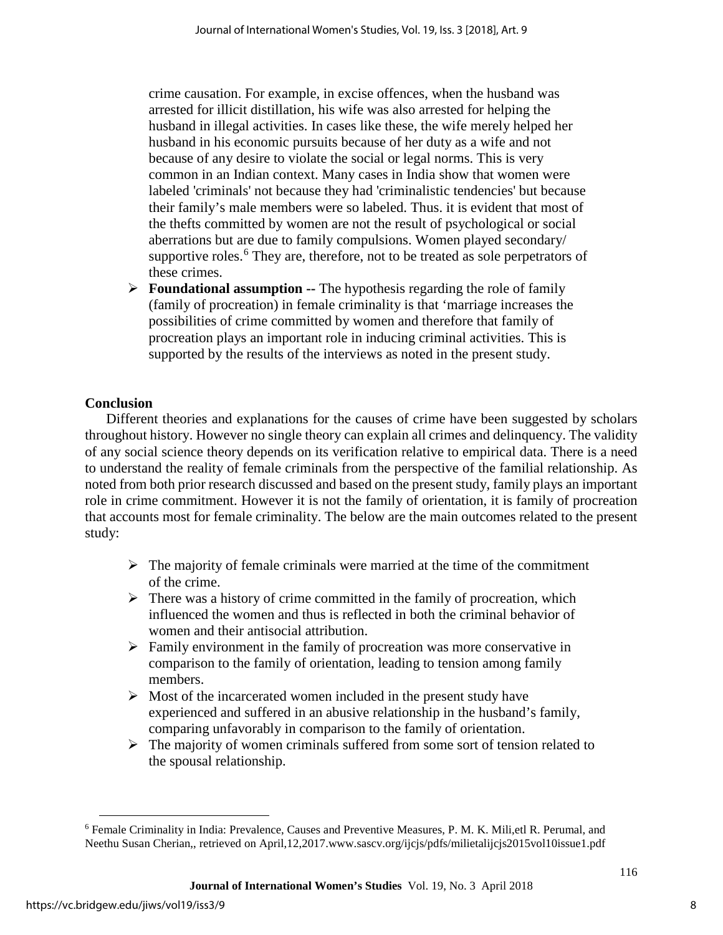crime causation. For example, in excise offences, when the husband was arrested for illicit distillation, his wife was also arrested for helping the husband in illegal activities. In cases like these, the wife merely helped her husband in his economic pursuits because of her duty as a wife and not because of any desire to violate the social or legal norms. This is very common in an Indian context. Many cases in India show that women were labeled 'criminals' not because they had 'criminalistic tendencies' but because their family's male members were so labeled. Thus. it is evident that most of the thefts committed by women are not the result of psychological or social aberrations but are due to family compulsions. Women played secondary/ supportive roles.<sup>[6](#page-8-0)</sup> They are, therefore, not to be treated as sole perpetrators of these crimes.

 **Foundational assumption --** The hypothesis regarding the role of family (family of procreation) in female criminality is that 'marriage increases the possibilities of crime committed by women and therefore that family of procreation plays an important role in inducing criminal activities. This is supported by the results of the interviews as noted in the present study.

# **Conclusion**

Different theories and explanations for the causes of crime have been suggested by scholars throughout history. However no single theory can explain all crimes and delinquency. The validity of any social science theory depends on its verification relative to empirical data. There is a need to understand the reality of female criminals from the perspective of the familial relationship. As noted from both prior research discussed and based on the present study, family plays an important role in crime commitment. However it is not the family of orientation, it is family of procreation that accounts most for female criminality. The below are the main outcomes related to the present study:

- $\triangleright$  The majority of female criminals were married at the time of the commitment of the crime.
- $\triangleright$  There was a history of crime committed in the family of procreation, which influenced the women and thus is reflected in both the criminal behavior of women and their antisocial attribution.
- $\triangleright$  Family environment in the family of procreation was more conservative in comparison to the family of orientation, leading to tension among family members.
- $\triangleright$  Most of the incarcerated women included in the present study have experienced and suffered in an abusive relationship in the husband's family, comparing unfavorably in comparison to the family of orientation.
- $\triangleright$  The majority of women criminals suffered from some sort of tension related to the spousal relationship.

 $\overline{a}$ 

<span id="page-8-0"></span><sup>6</sup> Female Criminality in India: Prevalence, Causes and Preventive Measures, P. M. K. Mili,etl R. Perumal, and Neethu Susan Cherian,, retrieved on April,12,2017.www.sascv.org/ijcjs/pdfs/milietalijcjs2015vol10issue1.pdf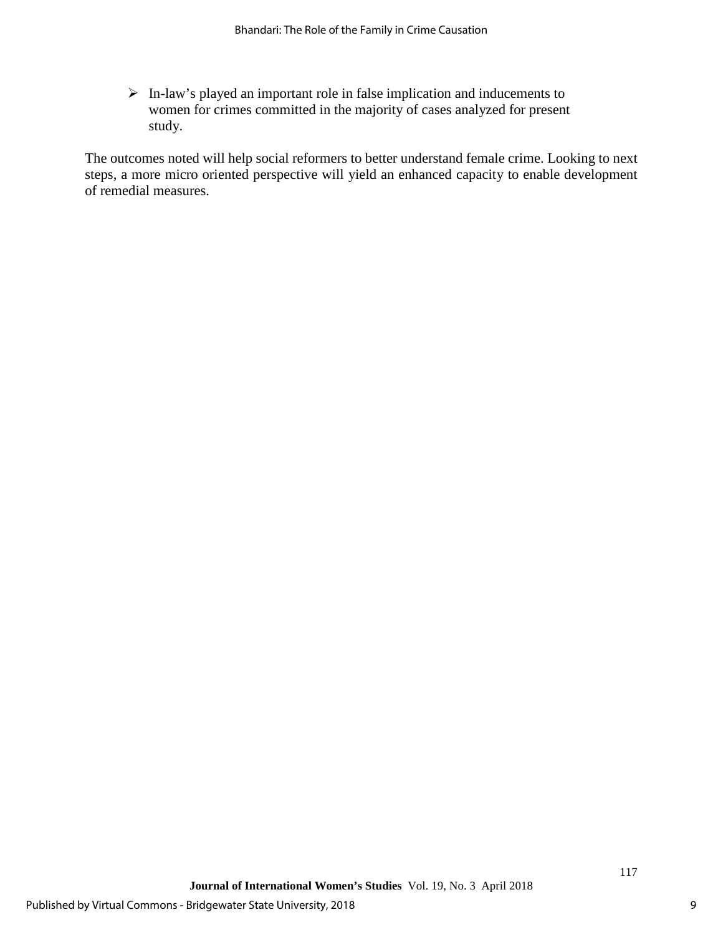In-law's played an important role in false implication and inducements to women for crimes committed in the majority of cases analyzed for present study.

The outcomes noted will help social reformers to better understand female crime. Looking to next steps, a more micro oriented perspective will yield an enhanced capacity to enable development of remedial measures.